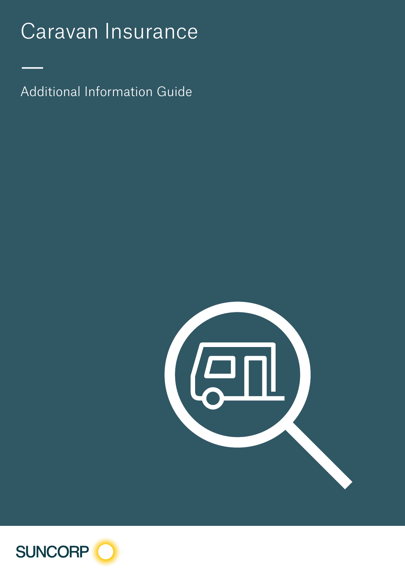# Caravan Insurance

Additional Information Guide

—



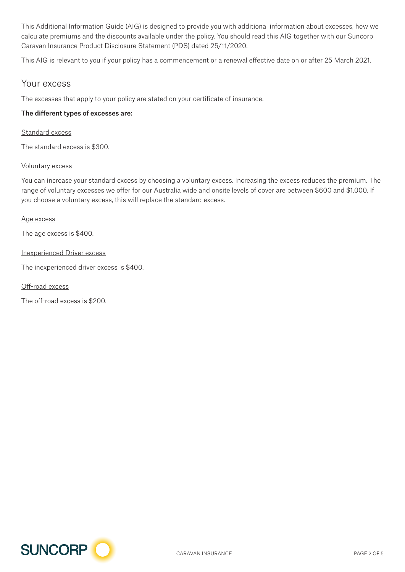This Additional Information Guide (AIG) is designed to provide you with additional information about excesses, how we calculate premiums and the discounts available under the policy. You should read this AIG together with our Suncorp Caravan Insurance Product Disclosure Statement (PDS) dated 25/11/2020.

This AIG is relevant to you if your policy has a commencement or a renewal effective date on or after 25 March 2021.

## Your excess

The excesses that apply to your policy are stated on your certificate of insurance.

## The different types of excesses are:

#### Standard excess

The standard excess is \$300.

### Voluntary excess

You can increase your standard excess by choosing a voluntary excess. Increasing the excess reduces the premium. The range of voluntary excesses we offer for our Australia wide and onsite levels of cover are between \$600 and \$1,000. If you choose a voluntary excess, this will replace the standard excess.

### Age excess

The age excess is \$400.

### Inexperienced Driver excess

The inexperienced driver excess is \$400.

Off-road excess

The off-road excess is \$200.

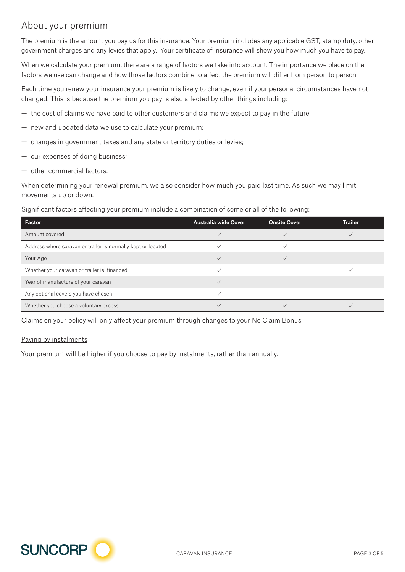## About your premium

The premium is the amount you pay us for this insurance. Your premium includes any applicable GST, stamp duty, other government charges and any levies that apply. Your certificate of insurance will show you how much you have to pay.

When we calculate your premium, there are a range of factors we take into account. The importance we place on the factors we use can change and how those factors combine to affect the premium will differ from person to person.

Each time you renew your insurance your premium is likely to change, even if your personal circumstances have not changed. This is because the premium you pay is also affected by other things including:

- the cost of claims we have paid to other customers and claims we expect to pay in the future;
- new and updated data we use to calculate your premium;
- changes in government taxes and any state or territory duties or levies;
- our expenses of doing business;
- other commercial factors.

When determining your renewal premium, we also consider how much you paid last time. As such we may limit movements up or down.

Significant factors affecting your premium include a combination of some or all of the following:

| Factor                                                       | <b>Australia wide Cover</b> | <b>Onsite Cover</b> | <b>Trailer</b> |
|--------------------------------------------------------------|-----------------------------|---------------------|----------------|
| Amount covered                                               |                             |                     |                |
| Address where caravan or trailer is normally kept or located |                             |                     |                |
| Your Age                                                     |                             |                     |                |
| Whether your caravan or trailer is financed                  |                             |                     |                |
| Year of manufacture of your caravan                          |                             |                     |                |
| Any optional covers you have chosen                          |                             |                     |                |
| Whether you choose a voluntary excess                        |                             |                     |                |

Claims on your policy will only affect your premium through changes to your No Claim Bonus.

## Paying by instalments

Your premium will be higher if you choose to pay by instalments, rather than annually.

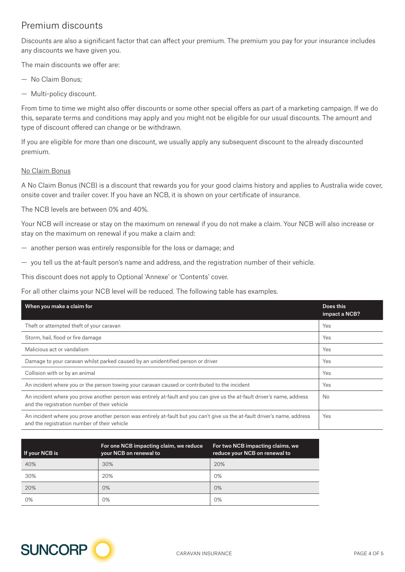## Premium discounts

Discounts are also a significant factor that can affect your premium. The premium you pay for your insurance includes any discounts we have given you.

The main discounts we offer are:

- No Claim Bonus;
- Multi-policy discount.

From time to time we might also offer discounts or some other special offers as part of a marketing campaign. If we do this, separate terms and conditions may apply and you might not be eligible for our usual discounts. The amount and type of discount offered can change or be withdrawn.

If you are eligible for more than one discount, we usually apply any subsequent discount to the already discounted premium.

### No Claim Bonus

A No Claim Bonus (NCB) is a discount that rewards you for your good claims history and applies to Australia wide cover, onsite cover and trailer cover. If you have an NCB, it is shown on your certificate of insurance.

The NCB levels are between 0% and 40%.

Your NCB will increase or stay on the maximum on renewal if you do not make a claim. Your NCB will also increase or stay on the maximum on renewal if you make a claim and:

- another person was entirely responsible for the loss or damage; and
- you tell us the at-fault person's name and address, and the registration number of their vehicle.

This discount does not apply to Optional 'Annexe' or 'Contents' cover.

For all other claims your NCB level will be reduced. The following table has examples.

| When you make a claim for                                                                                                                                                  | Does this<br>impact a NCB? |
|----------------------------------------------------------------------------------------------------------------------------------------------------------------------------|----------------------------|
| Theft or attempted theft of your caravan                                                                                                                                   | Yes                        |
| Storm, hail, flood or fire damage                                                                                                                                          | Yes                        |
| Malicious act or vandalism                                                                                                                                                 | Yes                        |
| Damage to your caravan whilst parked caused by an unidentified person or driver                                                                                            | Yes                        |
| Collision with or by an animal                                                                                                                                             | Yes                        |
| An incident where you or the person towing your caravan caused or contributed to the incident                                                                              | Yes                        |
| An incident where you prove another person was entirely at-fault and you can give us the at-fault driver's name, address<br>and the registration number of their vehicle   | <b>No</b>                  |
| An incident where you prove another person was entirely at-fault but you can't give us the at-fault driver's name, address<br>and the registration number of their vehicle | Yes                        |

| If your $\overline{\text{NCB}}$ is | For one NCB impacting claim, we reduce<br>your NCB on renewal to | For two NCB impacting claims, we<br>reduce your NCB on renewal to |
|------------------------------------|------------------------------------------------------------------|-------------------------------------------------------------------|
| 40%                                | 30%                                                              | 20%                                                               |
| 30%                                | 20%                                                              | 0%                                                                |
| 20%                                | 0%                                                               | 0%                                                                |
| 0%                                 | 0%                                                               | 0%                                                                |